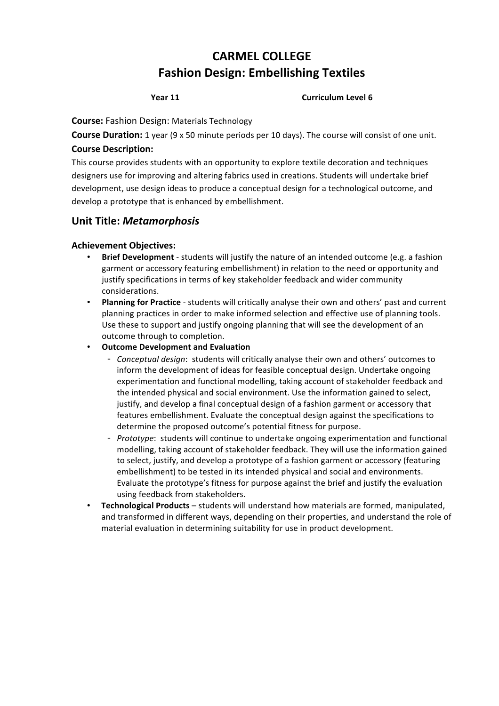# **CARMEL'COLLEGE Fashion Design: Embellishing Textiles**

# **Year'11' Curriculum'Level'6**

#### **Course:** Fashion Design: Materials Technology

**Course Duration:** 1 year (9 x 50 minute periods per 10 days). The course will consist of one unit. **Course Description:**

This course provides students with an opportunity to explore textile decoration and techniques designers use for improving and altering fabrics used in creations. Students will undertake brief development, use design ideas to produce a conceptual design for a technological outcome, and develop a prototype that is enhanced by embellishment.

# **Unit'Title:** *Metamorphosis*

# **Achievement'Objectives:**

- **Brief Development** students will justify the nature of an intended outcome (e.g. a fashion garment or accessory featuring embellishment) in relation to the need or opportunity and justify specifications in terms of key stakeholder feedback and wider community considerations.
- Planning for Practice students will critically analyse their own and others' past and current planning practices in order to make informed selection and effective use of planning tools. Use these to support and justify ongoing planning that will see the development of an outcome through to completion.
- **Outcome Development and Evaluation** 
	- *Conceptual design*: students will critically analyse their own and others' outcomes to inform the development of ideas for feasible conceptual design. Undertake ongoing experimentation and functional modelling, taking account of stakeholder feedback and the intended physical and social environment. Use the information gained to select, justify, and develop a final conceptual design of a fashion garment or accessory that features embellishment. Evaluate the conceptual design against the specifications to determine the proposed outcome's potential fitness for purpose.
	- Prototype: students will continue to undertake ongoing experimentation and functional modelling, taking account of stakeholder feedback. They will use the information gained to select, justify, and develop a prototype of a fashion garment or accessory (featuring embellishment) to be tested in its intended physical and social and environments. Evaluate the prototype's fitness for purpose against the brief and justify the evaluation using feedback from stakeholders.
- **Technological Products** students will understand how materials are formed, manipulated, and transformed in different ways, depending on their properties, and understand the role of material evaluation in determining suitability for use in product development.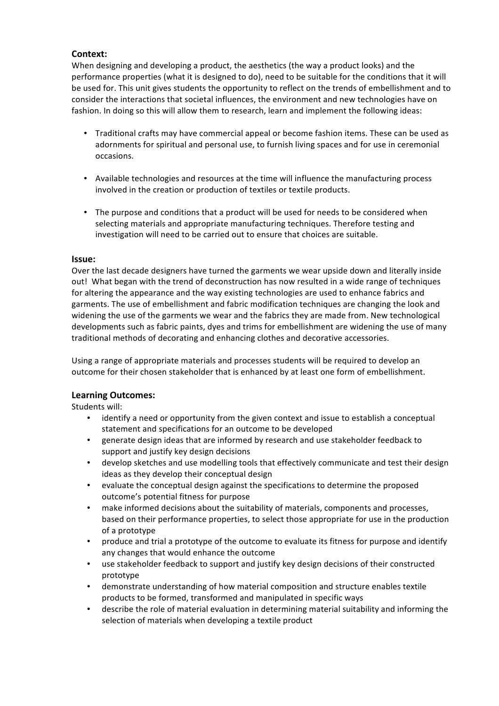# **Context:**

When designing and developing a product, the aesthetics (the way a product looks) and the performance properties (what it is designed to do), need to be suitable for the conditions that it will be used for. This unit gives students the opportunity to reflect on the trends of embellishment and to consider the interactions that societal influences, the environment and new technologies have on fashion. In doing so this will allow them to research, learn and implement the following ideas:

- Traditional crafts may have commercial appeal or become fashion items. These can be used as adornments for spiritual and personal use, to furnish living spaces and for use in ceremonial occasions.
- Available technologies and resources at the time will influence the manufacturing process involved in the creation or production of textiles or textile products.
- The purpose and conditions that a product will be used for needs to be considered when selecting materials and appropriate manufacturing techniques. Therefore testing and investigation will need to be carried out to ensure that choices are suitable.

### **Issue:**

Over the last decade designers have turned the garments we wear upside down and literally inside out! What began with the trend of deconstruction has now resulted in a wide range of techniques for altering the appearance and the way existing technologies are used to enhance fabrics and garments. The use of embellishment and fabric modification techniques are changing the look and widening the use of the garments we wear and the fabrics they are made from. New technological developments such as fabric paints, dyes and trims for embellishment are widening the use of many traditional methods of decorating and enhancing clothes and decorative accessories.

Using a range of appropriate materials and processes students will be required to develop an outcome for their chosen stakeholder that is enhanced by at least one form of embellishment.

# **Learning'Outcomes:**

Students will:

- identify a need or opportunity from the given context and issue to establish a conceptual statement and specifications for an outcome to be developed
- generate design ideas that are informed by research and use stakeholder feedback to support and justify key design decisions
- develop sketches and use modelling tools that effectively communicate and test their design ideas as they develop their conceptual design
- evaluate the conceptual design against the specifications to determine the proposed outcome's potential fitness for purpose
- make informed decisions about the suitability of materials, components and processes, based on their performance properties, to select those appropriate for use in the production of a prototype
- produce and trial a prototype of the outcome to evaluate its fitness for purpose and identify any changes that would enhance the outcome
- use stakeholder feedback to support and justify key design decisions of their constructed prototype
- demonstrate understanding of how material composition and structure enables textile products to be formed, transformed and manipulated in specific ways
- describe the role of material evaluation in determining material suitability and informing the selection of materials when developing a textile product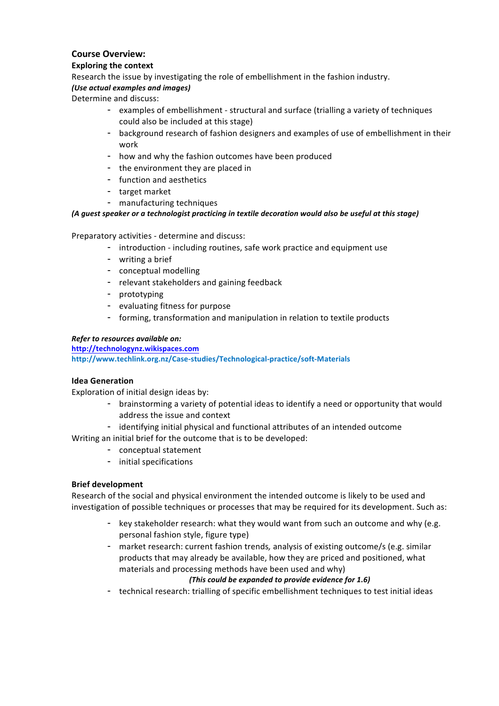# **Course'Overview:**

#### **Exploring the context**

Research the issue by investigating the role of embellishment in the fashion industry.

# *(Use.actual.examples.and.images)*

Determine and discuss:

- examples of embellishment structural and surface (trialling a variety of techniques could also be included at this stage)
- background research of fashion designers and examples of use of embellishment in their work!
- how and why the fashion outcomes have been produced
- the environment they are placed in
- function and aesthetics
- target market
- manufacturing techniques

#### *(A.guest.speaker.or.a.technologist.practicing.in.textile.decoration.would.also.be.useful.at.this.stage)*

Preparatory activities - determine and discuss:

- introduction including routines, safe work practice and equipment use
- writing a brief
- conceptual modelling
- relevant stakeholders and gaining feedback
- prototyping
- evaluating fitness for purpose
- forming, transformation and manipulation in relation to textile products

#### **Refer to resources available on:**

**http://technologynz.wikispaces.com**

http://www.techlink.org.nz/Case-studies/Technological-practice/soft-Materials

#### **Idea'Generation**

Exploration of initial design ideas by:

- brainstorming a variety of potential ideas to identify a need or opportunity that would address the issue and context
- identifying initial physical and functional attributes of an intended outcome
- Writing an initial brief for the outcome that is to be developed:
	- conceptual statement
	- initial specifications

#### **Brief'development**

Research of the social and physical environment the intended outcome is likely to be used and investigation of possible techniques or processes that may be required for its development. Such as:

- key stakeholder research: what they would want from such an outcome and why (e.g. personal fashion style, figure type)
- market research: current fashion trends, analysis of existing outcome/s (e.g. similar products that may already be available, how they are priced and positioned, what materials and processing methods have been used and why)

## *(This.could.be.expanded.to.provide.evidence.for.1.6)*

- technical research: trialling of specific embellishment techniques to test initial ideas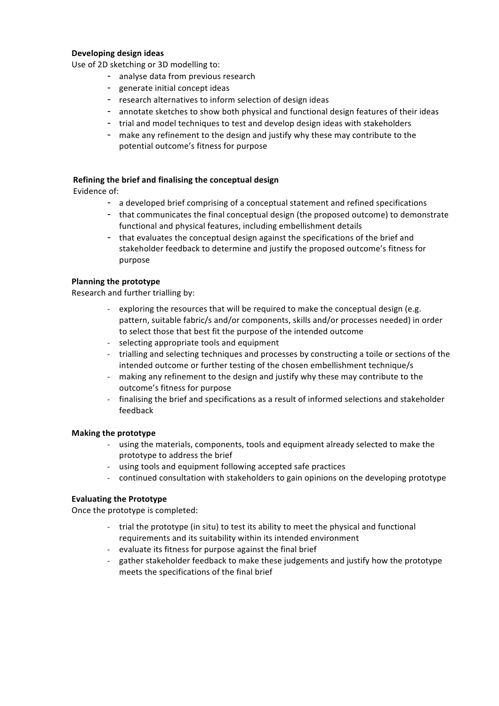#### **Developing'design'ideas'**

Use of 2D sketching or 3D modelling to:

- analyse data from previous research
- generate initial concept ideas
- research alternatives to inform selection of design ideas
- annotate sketches to show both physical and functional design features of their ideas
- trial and model techniques to test and develop design ideas with stakeholders
- make any refinement to the design and justify why these may contribute to the potential outcome's fitness for purpose

#### **Refining'the'brief'and'finalising'the'conceptual'design**

Evidence of:

- a developed brief comprising of a conceptual statement and refined specifications
- that communicates the final conceptual design (the proposed outcome) to demonstrate functional and physical features, including embellishment details
- that evaluates the conceptual design against the specifications of the brief and stakeholder feedback to determine and justify the proposed outcome's fitness for purpose

#### **Planning the prototype**

Research and further trialling by:

- exploring the resources that will be required to make the conceptual design (e.g. pattern, suitable fabric/s and/or components, skills and/or processes needed) in order to select those that best fit the purpose of the intended outcome
- selecting appropriate tools and equipment
- trialling and selecting techniques and processes by constructing a toile or sections of the intended outcome or further testing of the chosen embellishment technique/s
- making any refinement to the design and justify why these may contribute to the outcome's fitness for purpose
- finalising the brief and specifications as a result of informed selections and stakeholder feedback

#### **Making'the'prototype**

- using the materials, components, tools and equipment already selected to make the prototype to address the brief
- using tools and equipment following accepted safe practices
- continued consultation with stakeholders to gain opinions on the developing prototype

#### **Evaluating the Prototype**

Once the prototype is completed:

- trial the prototype (in situ) to test its ability to meet the physical and functional requirements and its suitability within its intended environment
- evaluate its fitness for purpose against the final brief
- gather stakeholder feedback to make these judgements and justify how the prototype meets the specifications of the final brief